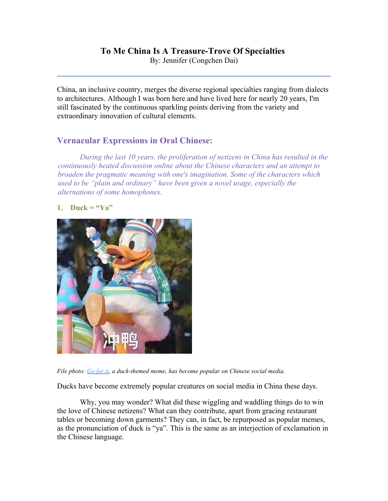# **To Me China Is A Treasure-Trove Of Specialties**

By: Jennifer (Congchen Dai)

China, an inclusive country, merges the diverse regional specialties ranging from dialects to architectures. Although I was born here and have lived here for nearly 20 years, I'm still fascinated by the continuous sparkling points deriving from the variety and extraordinary innovation of cultural elements.

# **Vernacular Expressions in Oral Chinese:**

*During the last 10 years, the proliferation of netizens in China has resulted in the continuously heated discussion online about the Chinese characters and an attempt to broaden the pragmatic meaning with one's imagination. Some of the characters which used to be "plain and ordinary" have been given a novel usage, especially the alternations of some homophones.*

# **1. Duck = "Ya"**



*File photo: Go for it, a duck-themed meme, has become popular on Chinese social media.*

Ducks have become extremely popular creatures on social media in China these days.

Why, you may wonder? What did these wiggling and waddling things do to win the love of Chinese netizens? What can they contribute, apart from gracing restaurant tables or becoming down garments? They can, in fact, be repurposed as popular memes, as the pronunciation of duck is "ya". This is the same as an interjection of exclamation in the Chinese language.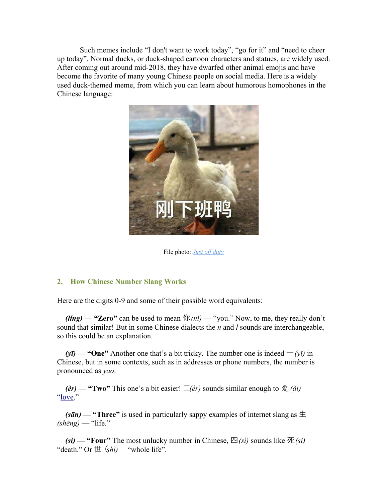Such memes include "I don't want to work today", "go for it" and "need to cheer up today". Normal ducks, or duck-shaped cartoon characters and statues, are widely used. After coming out around mid-2018, they have dwarfed other animal emojis and have become the favorite of many young Chinese people on social media. Here is a widely used duck-themed meme, from which you can learn about humorous homophones in the Chinese language:



File photo: *Just off duty*

# **2. How Chinese Number Slang Works**

Here are the digits 0-9 and some of their possible word equivalents:

**(ling) — "Zero"** can be used to mean  $\oint \mathcal{R}(ni)$  — "you." Now, to me, they really don't sound that similar! But in some Chinese dialects the *n* and *l* sounds are interchangeable, so this could be an explanation.

 $(y\bar{y})$  — "One" Another one that's a bit tricky. The number one is indeed  $-(y\bar{y})$  in Chinese, but in some contexts, such as in addresses or phone numbers, the number is pronounced as *yao*.

*(èr)* — "Two" This one's a bit easier!  $\overline{\phantom{a}}$  (*ér*) sounds similar enough to  $\hat{\mathcal{K}}$  *(ài)* — ["love.](https://www.fluentu.com/blog/chinese/2017/08/28/flirt-in-chinese/)"

 $(s\bar{a}n)$  — "Three" is used in particularly sappy examples of internet slang as  $\pm$  $(\textit{shēng})$  — "life."

 $f(\textbf{s}i)$  — "Four" The most unlucky number in Chinese,  $\mathbb{E}(s_i)$  sounds like  $\mathbb{E}(s_i)$  — "death." Or  $\#$  ( $\sin$ ) — "whole life".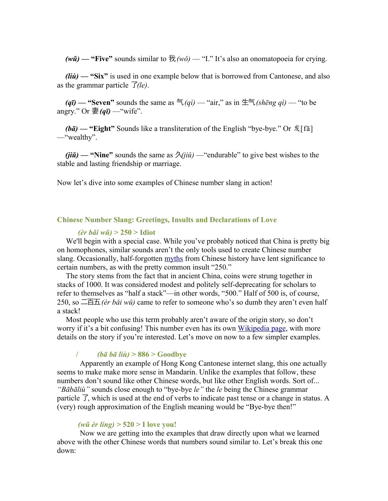$(w\check{u})$  — "Five" sounds similar to  $\mathcal{R}(w\check{o})$  — "I." It's also an onomatopoeia for crying.

*(liù)* — "Six" is used in one example below that is borrowed from Cantonese, and also as the grammar particle 了*(le)*.

 $(q\bar{q})$  — "Seven" sounds the same as  $\bar{q}(q\bar{q})$  — "air," as in  $\pm\bar{q}(s\bar{q})$  *m* = "to be angry." Or 妻*(qī)* —"wife".

*(bā)* **— "Eight"** Sounds like a transliteration of the English "bye-bye." Or 发[fā] —"wealthy".

 $(iii)$  — "Nine" sounds the same as  $\frac{\partial}{\partial i}$  — "endurable" to give best wishes to the stable and lasting friendship or marriage.

Now let's dive into some examples of Chinese number slang in action!

#### **Chinese Number Slang: Greetings, Insults and Declarations of Love**

#### 二百五 *(èr bǎi wǔ)* **> 250 > Idiot**

We'll begin with a special case. While you've probably noticed that China is pretty big on homophones, similar sounds aren't the only tools used to create Chinese number slang. Occasionally, half-forgotten [myths](http://www.historyextra.com/article/premium/10-myth-busting-great-wall-china-facts) from Chinese history have lent significance to certain numbers, as with the pretty common insult "250."

The story stems from the fact that in ancient China, coins were strung together in stacks of 1000. It was considered modest and politely self-deprecating for scholars to refer to themselves as "half a stack"—in other words, "500." Half of 500 is, of course, 250, so 二百五*(èr bǎi wǔ)* came to refer to someone who's so dumb they aren't even half a stack!

Most people who use this term probably aren't aware of the origin story, so don't worry if it's a bit confusing! This number even has its own [Wikipedia page,](https://en.wikipedia.org/wiki/250_(number)) with more details on the story if you're interested. Let's move on now to a few simpler examples.

#### 八八六**/**拜拜咯*(bā bā liù) >* **886 > Goodbye**

Apparently an example of Hong Kong Cantonese internet slang, this one actually seems to make make more sense in Mandarin. Unlike the examples that follow, these numbers don't sound like other Chinese words, but like other English words. Sort of... *"Bābāliù"* sounds close enough to "bye-bye *le"* the *le* being the Chinese grammar particle 了, which is used at the end of verbs to indicate past tense or a change in status. A (very) rough approximation of the English meaning would be "Bye-bye then!"

#### 五二零 *(wǔ èr líng) >* **520 > I love you!**

Now we are getting into the examples that draw directly upon what we learned above with the other Chinese words that numbers sound similar to. Let's break this one down: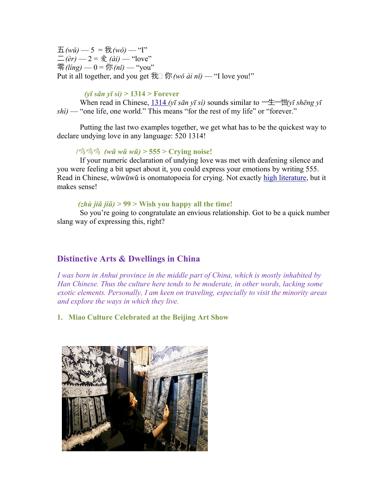$\pm$ *(wǔ)* — 5 =  $\frac{4}{3}$  *(wǒ)* — "I"  $\Box$ *(èr)* — 2 =  $\frac{a}{b}$ *(ài)* — "love" 零*(ling)* — 0 = 你 *(nĭ)* — "you" Put it all together, and you get  $\frac{4}{10} \frac{dy}{dx}$  (*wǒ ài nǐ*) — "I love you!"

# 一三一四 *(yī sān yī sì) >* **1314 > Forever**

When read in Chinese,  $\frac{1314}{v\bar{\imath}} \sin \nu \bar{\imath} \sin \omega$  sounds similar to  $-\pm \pm \frac{1}{v\bar{\imath}} \sin \omega \sin \omega$ *shì)* — "one life, one world." This means "for the rest of my life" or "forever."

Putting the last two examples together, we get what has to be the quickest way to declare undying love in any language: 520 1314!

#### /呜呜呜 (wǔ wǔ wǔ) > 555 > Crying noise!

If your numeric declaration of undying love was met with deafening silence and you were feeling a bit upset about it, you could express your emotions by writing 555. Read in Chinese, wǔwǔwǔ is onomatopoeia for crying. Not exactly [high literature,](https://www.fluentu.com/blog/chinese/2014/09/06/learn-mandarin-chinese-books-novels/) but it makes sense!

#### 祝九九 *(zhù jiǔ jiǔ) >* **99 > Wish you happy all the time!**

So you're going to congratulate an envious relationship. Got to be a quick number slang way of expressing this, right?

# **Distinctive Arts & Dwellings in China**

*I was born in Anhui province in the middle part of China, which is mostly inhabited by Han Chinese. Thus the culture here tends to be moderate, in other words, lacking some exotic elements. Personally, I am keen on traveling, especially to visit the minority areas and explore the ways in which they live.* 

**1. Miao Culture Celebrated at the Beijing Art Show**

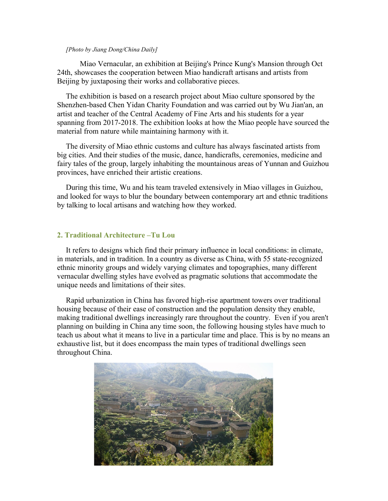#### *[Photo by Jiang Dong/China Daily]*

Miao Vernacular, an exhibition at Beijing's Prince Kung's Mansion through Oct 24th, showcases the cooperation between Miao handicraft artisans and artists from Beijing by juxtaposing their works and collaborative pieces.

The exhibition is based on a research project about Miao culture sponsored by the Shenzhen-based Chen Yidan Charity Foundation and was carried out by Wu Jian'an, an artist and teacher of the Central Academy of Fine Arts and his students for a year spanning from 2017-2018. The exhibition looks at how the Miao people have sourced the material from nature while maintaining harmony with it.

The diversity of Miao ethnic customs and culture has always fascinated artists from big cities. And their studies of the music, dance, handicrafts, ceremonies, medicine and fairy tales of the group, largely inhabiting the mountainous areas of Yunnan and Guizhou provinces, have enriched their artistic creations.

During this time, Wu and his team traveled extensively in Miao villages in Guizhou, and looked for ways to blur the boundary between contemporary art and ethnic traditions by talking to local artisans and watching how they worked.

#### **2. Traditional Architecture –Tu Lou**

It refers to designs which find their primary influence in local conditions: in climate, in materials, and in tradition. In a country as diverse as China, with 55 state-recognized ethnic minority groups and widely varying climates and topographies, many different vernacular dwelling styles have evolved as pragmatic solutions that accommodate the unique needs and limitations of their sites.

Rapid urbanization in China has favored high-rise apartment towers over traditional housing because of their ease of construction and the population density they enable, making traditional dwellings increasingly rare throughout the country. Even if you aren't planning on building in China any time soon, the following housing styles have much to teach us about what it means to live in a particular time and place. This is by no means an exhaustive list, but it does encompass the main types of traditional dwellings seen throughout China.